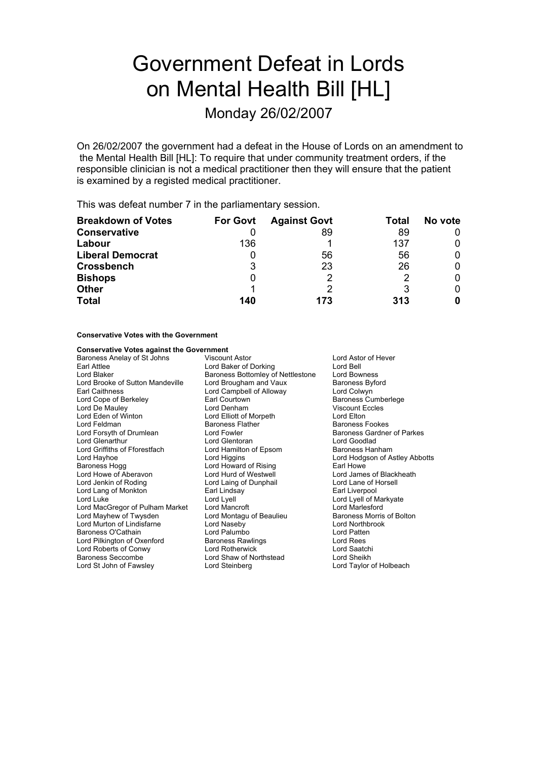# Government Defeat in Lords on Mental Health Bill [HL]

Monday 26/02/2007

On 26/02/2007 the government had a defeat in the House of Lords on an amendment to the Mental Health Bill [HL]: To require that under community treatment orders, if the responsible clinician is not a medical practitioner then they will ensure that the patient is examined by a registed medical practitioner.

This was defeat number 7 in the parliamentary session.

| <b>Breakdown of Votes</b> | <b>For Govt</b> | <b>Against Govt</b> | Total | No vote |
|---------------------------|-----------------|---------------------|-------|---------|
| <b>Conservative</b>       |                 | 89                  | 89    |         |
| Labour                    | 136             |                     | 137   |         |
| <b>Liberal Democrat</b>   |                 | 56                  | 56    |         |
| <b>Crossbench</b>         | 3               | 23                  | 26    |         |
| <b>Bishops</b>            | O               |                     |       |         |
| <b>Other</b>              |                 |                     |       |         |
| <b>Total</b>              | 140             | 173                 | 313   |         |

#### **Conservative Votes with the Government**

## **Conservative Votes against the Government**<br>Baroness Anelay of St Johns **Wiscount Astor**

Earl Attlee **Lord Baker of Dorking** Lord Bell Lord Bell<br>
Lord Blaker **Lord Baker Bell Baroness Bottomley of Nettlestone** Lord Bowness Lord Brooke of Sutton Mandeville Lord Brougham and Vaux Baroness By<br>Earl Caithness Cord Campbell of Alloway Lord Colwyn Earl Caithness **Lord Campbell of Alloway** Lord Cope of Berkeley **Earl Courtown** Earl Courtown **Baroness Cumberlege**<br>
Lord De Mauley **Reserves Cumberlege**<br>
Lord Denham **Baroness Cumberlege** Lord De Mauley **Lord Denham** Cord Denham **Viscount Example 1**<br>
Lord Eden of Winton **Cord Elliot** Lord Elliott of Morpeth Cord Elson Lord Elton Lord Eden of Winton i Lord Elliott of Morpeth<br>
Lord Feldman i Baroness Flather Lord Feldman **Baroness Flather** Baroness Fookes<br>
Lord Forsyth of Drumlean **Baroness Communist Communist Communist Communist Communist Communist Communist Communis** Lord Glenarthur<br>Lord Griffiths of Fforestfach Lord Hayhoe **Lord Higgins** Lord Higgins Lord Howe Lord Hodgson of Astley Abbotts<br>
Lord Howard of Rising **Lorgins** Lord Howard Control Carl Howe Lord Howe of Aberavon Lord Hurd of Westwell<br>
Lord Jenkin of Roding Lord Laing of Dunphail Lord Lang of Monkton **Carl Linds ay Carl Livers and Conservation** Earl Liverpool<br>
Lord Luke Cord Lyell Cord Lyell Cord Lyell Cord Lyell of N Lord MacGregor of Pulham Market Lord Mayhew of Twysden Lord Montagu of Beaulieu Baroness Morris of Bolton Lord Murton of Lindisfarne Lord Naseby Lord Northbrook Baroness O'Cathain Lord Pilkington of Oxenford Baroness Rawlings Lord Rees Lord Roberts of Conwy Lord Rotherwick Lord Saatchi Lord St John of Fawsley Lord Steinberg Lord Taylor of Holbeach

Baroness Anelay of St Johns Viscount Astor Lord Astor Lord Astor of Hever Baroness Bottomley of Nettlestone Lord Bowness<br>
Lord Brougham and Vaux Baroness Byford Lord Fowler **Communist Communist Communist Communist Communist Communist Communist Communist Communist Communist Communist Communist Communist Communist Communist Communist Communist Communist Communist Communist Communist** Lord Hamilton of Epsom Baroness Hanham Lord Howard of Rising<br>
Lord Hurd of Westwell<br>
Lord James of Blackheath Lord Laing of Dunphail **Lord Lane of Horsell** Lord Lyell **Lord Lyell Lord Lyell of Markyate**<br>
Lord Mancroft Lord Marlesford Lord Shaw of Northstead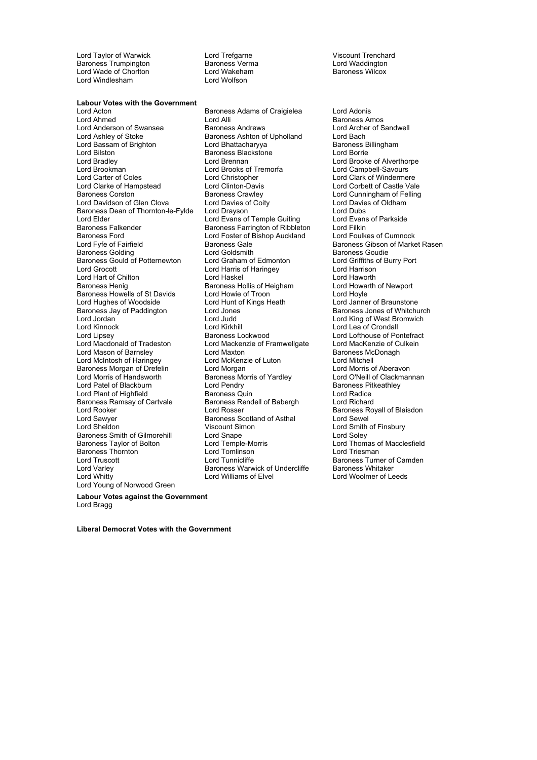Lord Taylor of Warwick Lord Trefgarne and Lord Trenchard<br>
Baroness Trumpington Baroness Verma<br>
Lord Waddington Baroness Trumpington **Baroness Verma** Chroness Vermann Lord Waddington Lord Waddington Lord Waddington Lord Wakeham Lord Wade of Chorlton Lord Wakeha<br>
Lord Windlesham Baroness Lord Wolfson Lord Windlesham Lord Wolfson

### **Labour Votes with the Government**<br>**Lord Acton**

Lord Anderson of Swansea **Baroness Andrews** Lord Ashley of Stoke **Baroness Ashton of Upholland** Lord Bach<br>
Lord Bassam of Brighton **Baroness Ashton Cord Bhattacharyya** Baroness Billingham Lord Bassam of Brighton **Lord Bhattacharyya Consumer Baroness B**<br>Lord Bilston **Consumer Baroness Blackstone** Lord Borrie Lord Bradley Lord Brennan Lord Brooke of Alverthorpe Lord Brookman Lord Brooks of Tremorfa<br>
Lord Carter of Coles
Lord Carter of Coles
Lord Carter of Coles
Lord Carter of Coles
Lord Carter of Coles
Lord Carter of Coles
Lord Carter of Coles
Lord Carter of Coles
Lord Carter of Lord Clarke of Hampstead Baroness Corston **Baroness Crawley** Baroness Crawley **Lord Cunningham of Felling**<br>
Lord Davidson of Glen Clova Lord Davies of Coity **Lord Davies of Oldham** Lord Davidson of Glen Clova Lord Davies of Coity<br>
Baroness Dean of Thornton-le-Fylde Lord Drayson Coity Lord Dubs Baroness Dean of Thornton-le-Fylde Lord Drayson Lord Dubs Lord Elder Lord Evans of Temple Guiting Lord Evans of Temple Guiting Baroness Farkender<br>Baroness Falkender Lord Baroness Farrington of Ribble Baroness Falkender **Baroness Farrington of Ribbleton** Lord Filkin<br>Baroness Ford **Baroness In Lord Foster of Bishop Auckland** Lord Foulkes of Cumnock Baroness Ford **Exercise Server Connect Server Server Server Server Server Server Server Server Server Server Server Server Server Server Server Server Server Server Server Server Server Server Server Server Server Server S** Baroness Golding The Lord Goldsmith Communist Caroness Goudie<br>Baroness Gould of Potternewton Lord Graham of Edmonton Lord Griffiths of Burry Port Baroness Gould of Potternewton Lord Graham of Edmonton Lord Griffiths community Cord Griffiths community Cord Har<br>Lord Grocott Lord Harri Port Burry Port Australian Lord Harrison Lord Hart of Chilton<br>Baroness Henig Baroness Howells of St Davids Lord Howie of Troon<br>
Lord Hughes of Woodside Lord Hunt of Kings Heath Lord Janner of Braunstone Lord Hughes of Woodside Lord Hunt of Kings Heath<br>Baroness Jay of Paddington Lord Jones Lord Jordan Lord Judd Lord King of West Bromwich Lord Kinnoc k Lord Kirkhill Lord Lea of Crondall Lord Lipsey **Baroness Lockwood** Lord Lofthouse of Pontefract<br>Lord Macdonald of Tradeston Lord Mackenzie of Framwellgate Lord MacKenzie of Culkein Lord Mason of Barnsley **Lord Maxton Concept Concept Concept** Baroness Mc<br>
Lord McNortosh of Haringey **Baroness McDonagher Concept Concept Concept** Lord Mitchell Lord McIntosh of Haringey Lord McKenzie of Luton<br>
Baroness Morgan of Drefelin Lord Morgan Luton Lord Morris of Aberavon Baroness Morgan of Drefelin Lord Morris of Handsworth **Baroness Morris of Yardley** Lord O'Neill of Clackmannan<br>
Lord Patel of Blackburn Lord Pendry Lord Pendry Baroness Pitkeathley Lord Patel of Blackburn Lord Pendry Cord Pendry Cord Baroness Pitcher Baroness Pitcher Baroness Pitcher Baroness Pit<br>
Baroness Quin<br>
Lord Radice Lord Plant of Highfield<br>
Baroness Ramsay of Cartvale Baroness Rendell of Babergh Baroness Ramsay of Cartvale Baroness Rendell of Babergh Lord Richard<br>Lord Rosser Lord Rosser Baroness Ro Lord Rooker **Lord Rosser** Corporation Corporation Corporation Corporation Corporation Corporation Corporation Corporation Corporation Corporation Corporation Corporation Corporation Corporation Corporation Corporation Corp Lord Sawyer **Baroness Scotland of Asthal Lord Sheldon**<br>
Lord Sheldon **Baroness Scotland Scotland Sheldon** Baroness Smith of Gilmorehill Lord Snape<br>
Baroness Taylor of Bolton Lord Temple-Morris Cord Thom Baroness Thornton Lord Tomlinson<br>
Lord Truscott Lord Tunnicliffe Lord Truscott Lord Tunnicliffe and Baroness Turner of Camden<br>
Lord Truscott Lord Tunnicliffe Baroness Ware Baroness Whitaker<br>
Lord Varley Baroness Warwick of Undercliffe Baroness Whitaker Lord Whitty Lord Williams of Elvel Lord Woolmer of Leeds Lord Young of Norwood Green

Lord Acton Baroness Adams of Craigielea Lord Adonis Baroness Blackstone<br>Lord Brennan Lord Christopher **Lord Clark of Windermere**<br>
Lord Clinton-Davis **Lord Corbett of Castle Vale Baroness Gale** Baroness Gibson of Market Rasen<br>
Lord Goldsmith Baroness Goudie Lord Harris of Haringey **Lord Harrison**<br>
Lord Haskel **Lord Harrison** Baroness Hollis of Heigham Lord Howarth of Newport<br>
Lord Howie of Troon Lord Hovle Lord Jones Contract Contract Baroness Jones of Whitchurch Lord Mackenzie of Framwellgate Lord MacKenzie of Culter<br>Lord Maxton e Baroness McDonagh Viscount Simon Lord Smith of Finsbury Lord Temple-Morris Lord Thomas of Macclesfield<br>
Lord Tomlinson Lord Triesman Baroness Warwick of Undercliffe<br>Lord Williams of Elvel

Baroness Amos<br>Lord Archer of Sandwell

**Labour Votes against the Government** Lord Bragg

**Liberal Democrat Votes with the Government**